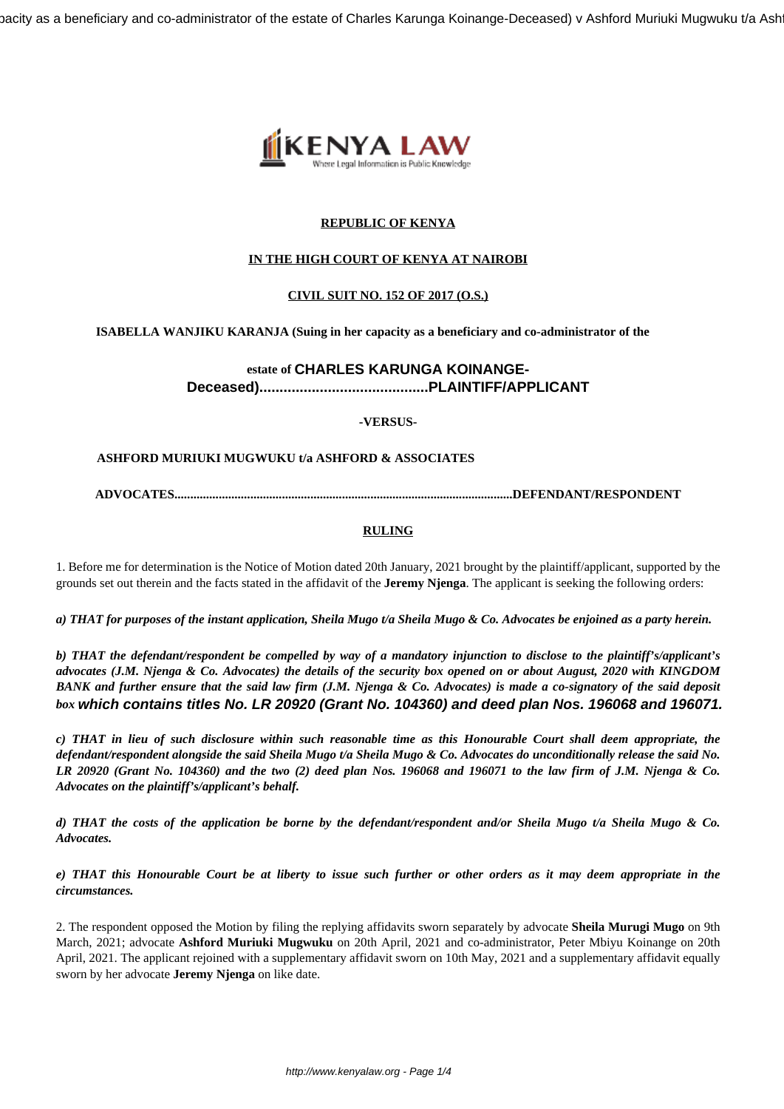bacity as a beneficiary and co-administrator of the estate of Charles Karunga Koinange-Deceased) v Ashford Muriuki Mugwuku t/a Ash



# **REPUBLIC OF KENYA**

# **IN THE HIGH COURT OF KENYA AT NAIROBI**

## **CIVIL SUIT NO. 152 OF 2017 (O.S.)**

## **ISABELLA WANJIKU KARANJA (Suing in her capacity as a beneficiary and co-administrator of the**

# **estate of CHARLES KARUNGA KOINANGE-Deceased)..........................................PLAINTIFF/APPLICANT**

**-VERSUS-**

## **ASHFORD MURIUKI MUGWUKU t/a ASHFORD & ASSOCIATES**

**ADVOCATES...........................................................................................................DEFENDANT/RESPONDENT**

# **RULING**

1. Before me for determination is the Notice of Motion dated 20th January, 2021 brought by the plaintiff/applicant, supported by the grounds set out therein and the facts stated in the affidavit of the **Jeremy Njenga**. The applicant is seeking the following orders:

*a) THAT for purposes of the instant application, Sheila Mugo t/a Sheila Mugo & Co. Advocates be enjoined as a party herein.*

*b) THAT the defendant/respondent be compelled by way of a mandatory injunction to disclose to the plaintiff's/applicant's advocates (J.M. Njenga & Co. Advocates) the details of the security box opened on or about August, 2020 with KINGDOM BANK and further ensure that the said law firm (J.M. Njenga & Co. Advocates) is made a co-signatory of the said deposit box* **which contains titles No. LR 20920 (Grant No. 104360) and deed plan Nos. 196068 and 196071.**

*c) THAT in lieu of such disclosure within such reasonable time as this Honourable Court shall deem appropriate, the defendant/respondent alongside the said Sheila Mugo t/a Sheila Mugo & Co. Advocates do unconditionally release the said No. LR 20920 (Grant No. 104360) and the two (2) deed plan Nos. 196068 and 196071 to the law firm of J.M. Njenga & Co. Advocates on the plaintiff's/applicant's behalf.*

*d) THAT the costs of the application be borne by the defendant/respondent and/or Sheila Mugo t/a Sheila Mugo & Co. Advocates.*

*e) THAT this Honourable Court be at liberty to issue such further or other orders as it may deem appropriate in the circumstances.*

2. The respondent opposed the Motion by filing the replying affidavits sworn separately by advocate **Sheila Murugi Mugo** on 9th March, 2021; advocate **Ashford Muriuki Mugwuku** on 20th April, 2021 and co-administrator, Peter Mbiyu Koinange on 20th April, 2021. The applicant rejoined with a supplementary affidavit sworn on 10th May, 2021 and a supplementary affidavit equally sworn by her advocate **Jeremy Njenga** on like date.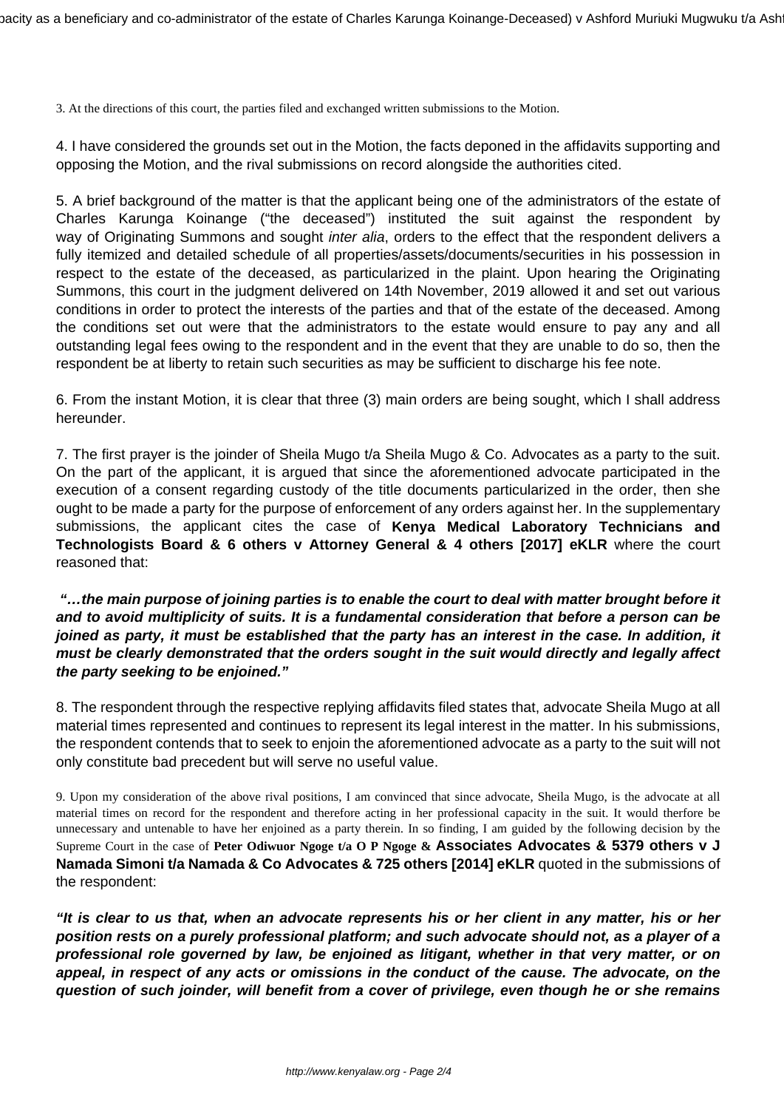3. At the directions of this court, the parties filed and exchanged written submissions to the Motion.

4. I have considered the grounds set out in the Motion, the facts deponed in the affidavits supporting and opposing the Motion, and the rival submissions on record alongside the authorities cited.

5. A brief background of the matter is that the applicant being one of the administrators of the estate of Charles Karunga Koinange ("the deceased") instituted the suit against the respondent by way of Originating Summons and sought *inter alia*, orders to the effect that the respondent delivers a fully itemized and detailed schedule of all properties/assets/documents/securities in his possession in respect to the estate of the deceased, as particularized in the plaint. Upon hearing the Originating Summons, this court in the judgment delivered on 14th November, 2019 allowed it and set out various conditions in order to protect the interests of the parties and that of the estate of the deceased. Among the conditions set out were that the administrators to the estate would ensure to pay any and all outstanding legal fees owing to the respondent and in the event that they are unable to do so, then the respondent be at liberty to retain such securities as may be sufficient to discharge his fee note.

6. From the instant Motion, it is clear that three (3) main orders are being sought, which I shall address hereunder.

7. The first prayer is the joinder of Sheila Mugo t/a Sheila Mugo & Co. Advocates as a party to the suit. On the part of the applicant, it is argued that since the aforementioned advocate participated in the execution of a consent regarding custody of the title documents particularized in the order, then she ought to be made a party for the purpose of enforcement of any orders against her. In the supplementary submissions, the applicant cites the case of **Kenya Medical Laboratory Technicians and Technologists Board & 6 others v Attorney General & 4 others [2017] eKLR** where the court reasoned that:

**"…the main purpose of joining parties is to enable the court to deal with matter brought before it and to avoid multiplicity of suits. It is a fundamental consideration that before a person can be joined as party, it must be established that the party has an interest in the case. In addition, it must be clearly demonstrated that the orders sought in the suit would directly and legally affect the party seeking to be enjoined."**

8. The respondent through the respective replying affidavits filed states that, advocate Sheila Mugo at all material times represented and continues to represent its legal interest in the matter. In his submissions, the respondent contends that to seek to enjoin the aforementioned advocate as a party to the suit will not only constitute bad precedent but will serve no useful value.

9. Upon my consideration of the above rival positions, I am convinced that since advocate, Sheila Mugo, is the advocate at all material times on record for the respondent and therefore acting in her professional capacity in the suit. It would therfore be unnecessary and untenable to have her enjoined as a party therein. In so finding, I am guided by the following decision by the Supreme Court in the case of **Peter Odiwuor Ngoge t/a O P Ngoge & Associates Advocates & 5379 others v J Namada Simoni t/a Namada & Co Advocates & 725 others [2014] eKLR** quoted in the submissions of the respondent:

**"It is clear to us that, when an advocate represents his or her client in any matter, his or her position rests on a purely professional platform; and such advocate should not, as a player of a professional role governed by law, be enjoined as litigant, whether in that very matter, or on appeal, in respect of any acts or omissions in the conduct of the cause. The advocate, on the question of such joinder, will benefit from a cover of privilege, even though he or she remains**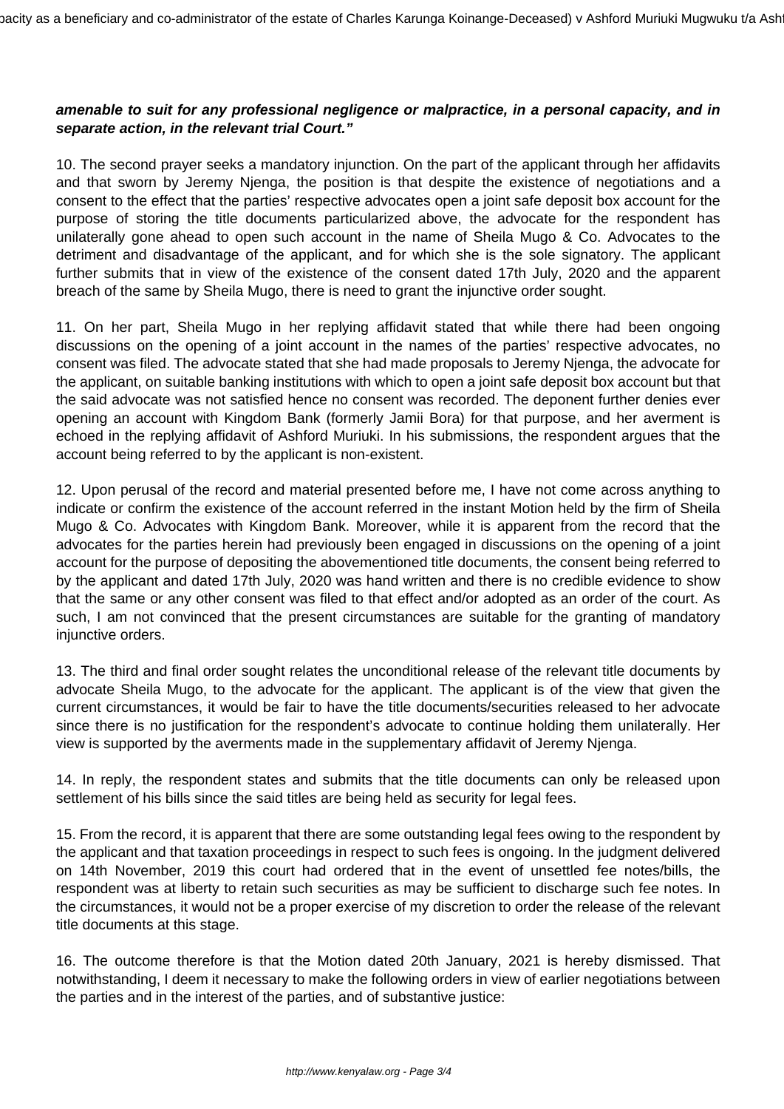# **amenable to suit for any professional negligence or malpractice, in a personal capacity, and in separate action, in the relevant trial Court."**

10. The second prayer seeks a mandatory injunction. On the part of the applicant through her affidavits and that sworn by Jeremy Njenga, the position is that despite the existence of negotiations and a consent to the effect that the parties' respective advocates open a joint safe deposit box account for the purpose of storing the title documents particularized above, the advocate for the respondent has unilaterally gone ahead to open such account in the name of Sheila Mugo & Co. Advocates to the detriment and disadvantage of the applicant, and for which she is the sole signatory. The applicant further submits that in view of the existence of the consent dated 17th July, 2020 and the apparent breach of the same by Sheila Mugo, there is need to grant the injunctive order sought.

11. On her part, Sheila Mugo in her replying affidavit stated that while there had been ongoing discussions on the opening of a joint account in the names of the parties' respective advocates, no consent was filed. The advocate stated that she had made proposals to Jeremy Njenga, the advocate for the applicant, on suitable banking institutions with which to open a joint safe deposit box account but that the said advocate was not satisfied hence no consent was recorded. The deponent further denies ever opening an account with Kingdom Bank (formerly Jamii Bora) for that purpose, and her averment is echoed in the replying affidavit of Ashford Muriuki. In his submissions, the respondent argues that the account being referred to by the applicant is non-existent.

12. Upon perusal of the record and material presented before me, I have not come across anything to indicate or confirm the existence of the account referred in the instant Motion held by the firm of Sheila Mugo & Co. Advocates with Kingdom Bank. Moreover, while it is apparent from the record that the advocates for the parties herein had previously been engaged in discussions on the opening of a joint account for the purpose of depositing the abovementioned title documents, the consent being referred to by the applicant and dated 17th July, 2020 was hand written and there is no credible evidence to show that the same or any other consent was filed to that effect and/or adopted as an order of the court. As such, I am not convinced that the present circumstances are suitable for the granting of mandatory injunctive orders.

13. The third and final order sought relates the unconditional release of the relevant title documents by advocate Sheila Mugo, to the advocate for the applicant. The applicant is of the view that given the current circumstances, it would be fair to have the title documents/securities released to her advocate since there is no justification for the respondent's advocate to continue holding them unilaterally. Her view is supported by the averments made in the supplementary affidavit of Jeremy Njenga.

14. In reply, the respondent states and submits that the title documents can only be released upon settlement of his bills since the said titles are being held as security for legal fees.

15. From the record, it is apparent that there are some outstanding legal fees owing to the respondent by the applicant and that taxation proceedings in respect to such fees is ongoing. In the judgment delivered on 14th November, 2019 this court had ordered that in the event of unsettled fee notes/bills, the respondent was at liberty to retain such securities as may be sufficient to discharge such fee notes. In the circumstances, it would not be a proper exercise of my discretion to order the release of the relevant title documents at this stage.

16. The outcome therefore is that the Motion dated 20th January, 2021 is hereby dismissed. That notwithstanding, I deem it necessary to make the following orders in view of earlier negotiations between the parties and in the interest of the parties, and of substantive justice: